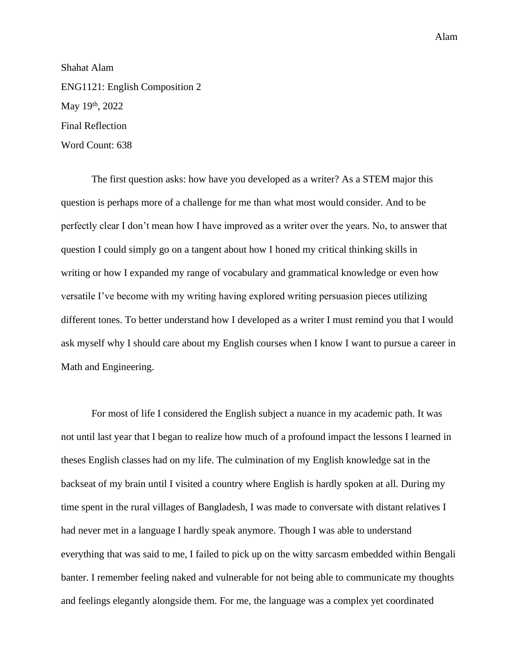Alam

Shahat Alam ENG1121: English Composition 2 May 19<sup>th</sup>, 2022 Final Reflection Word Count: 638

The first question asks: how have you developed as a writer? As a STEM major this question is perhaps more of a challenge for me than what most would consider. And to be perfectly clear I don't mean how I have improved as a writer over the years. No, to answer that question I could simply go on a tangent about how I honed my critical thinking skills in writing or how I expanded my range of vocabulary and grammatical knowledge or even how versatile I've become with my writing having explored writing persuasion pieces utilizing different tones. To better understand how I developed as a writer I must remind you that I would ask myself why I should care about my English courses when I know I want to pursue a career in Math and Engineering.

For most of life I considered the English subject a nuance in my academic path. It was not until last year that I began to realize how much of a profound impact the lessons I learned in theses English classes had on my life. The culmination of my English knowledge sat in the backseat of my brain until I visited a country where English is hardly spoken at all. During my time spent in the rural villages of Bangladesh, I was made to conversate with distant relatives I had never met in a language I hardly speak anymore. Though I was able to understand everything that was said to me, I failed to pick up on the witty sarcasm embedded within Bengali banter. I remember feeling naked and vulnerable for not being able to communicate my thoughts and feelings elegantly alongside them. For me, the language was a complex yet coordinated